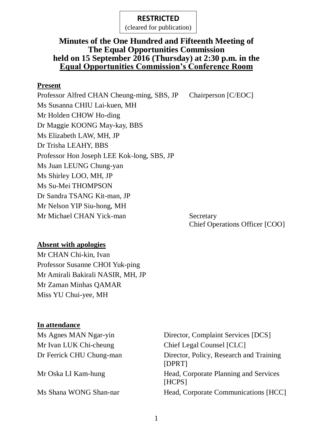(cleared for publication)

#### **Minutes of the One Hundred and Fifteenth Meeting of The Equal Opportunities Commission held on 15 September 2016 (Thursday) at 2:30 p.m. in the Equal Opportunities Commission's Conference Room**

#### **Present**

Professor Alfred CHAN Cheung-ming, SBS, JP Chairperson [C/EOC] Ms Susanna CHIU Lai-kuen, MH Mr Holden CHOW Ho-ding Dr Maggie KOONG May-kay, BBS Ms Elizabeth LAW, MH, JP Dr Trisha LEAHY, BBS Professor Hon Joseph LEE Kok-long, SBS, JP Ms Juan LEUNG Chung-yan Ms Shirley LOO, MH, JP Ms Su-Mei THOMPSON Dr Sandra TSANG Kit-man, JP Mr Nelson YIP Siu-hong, MH Mr Michael CHAN Yick-man Secretary Chief Operations Officer [COO]

# **Absent with apologies**

Mr CHAN Chi-kin, Ivan Professor Susanne CHOI Yuk-ping Mr Amirali Bakirali NASIR, MH, JP Mr Zaman Minhas QAMAR Miss YU Chui-yee, MH

#### **In attendance**

Mr Ivan LUK Chi-cheung Chief Legal Counsel [CLC]

Ms Agnes MAN Ngar-yin Director, Complaint Services [DCS] Dr Ferrick CHU Chung-man Director, Policy, Research and Training [DPRT] Mr Oska LI Kam-hung Head, Corporate Planning and Services [HCPS] Ms Shana WONG Shan-nar Head, Corporate Communications [HCC]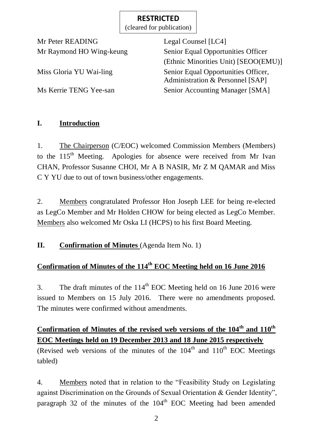(cleared for publication)

Mr Peter READING Legal Counsel [LC4]

Mr Raymond HO Wing-keung Senior Equal Opportunities Officer (Ethnic Minorities Unit) [SEOO(EMU)] Miss Gloria YU Wai-ling Senior Equal Opportunities Officer, Administration & Personnel [SAP] Ms Kerrie TENG Yee-san Senior Accounting Manager [SMA]

## **I. Introduction**

1. The Chairperson (C/EOC) welcomed Commission Members (Members) to the 115<sup>th</sup> Meeting. Apologies for absence were received from Mr Ivan CHAN, Professor Susanne CHOI, Mr A B NASIR, Mr Z M QAMAR and Miss C Y YU due to out of town business/other engagements.

2. Members congratulated Professor Hon Joseph LEE for being re-elected as LegCo Member and Mr Holden CHOW for being elected as LegCo Member. Members also welcomed Mr Oska LI (HCPS) to his first Board Meeting.

**II. Confirmation of Minutes** (Agenda Item No. 1)

# **Confirmation of Minutes of the 114th EOC Meeting held on 16 June 2016**

3. The draft minutes of the  $114<sup>th</sup>$  EOC Meeting held on 16 June 2016 were issued to Members on 15 July 2016. There were no amendments proposed. The minutes were confirmed without amendments.

# **Confirmation of Minutes of the revised web versions of the 104th and 110th EOC Meetings held on 19 December 2013 and 18 June 2015 respectively**

(Revised web versions of the minutes of the  $104<sup>th</sup>$  and  $110<sup>th</sup>$  EOC Meetings tabled)

4. Members noted that in relation to the "Feasibility Study on Legislating against Discrimination on the Grounds of Sexual Orientation & Gender Identity", paragraph 32 of the minutes of the 104<sup>th</sup> EOC Meeting had been amended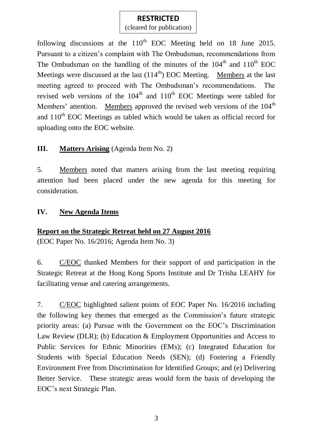(cleared for publication)

following discussions at the  $110^{th}$  EOC Meeting held on 18 June 2015. Pursuant to a citizen's complaint with The Ombudsman, recommendations from The Ombudsman on the handling of the minutes of the  $104<sup>th</sup>$  and  $110<sup>th</sup>$  EOC Meetings were discussed at the last  $(114<sup>th</sup>)$  EOC Meeting. Members at the last meeting agreed to proceed with The Ombudsman's recommendations. The revised web versions of the  $104<sup>th</sup>$  and  $110<sup>th</sup>$  EOC Meetings were tabled for Members' attention. Members approved the revised web versions of the 104<sup>th</sup> and  $110^{th}$  EOC Meetings as tabled which would be taken as official record for uploading onto the EOC website.

#### **III. Matters Arising** (Agenda Item No. 2)

5. Members noted that matters arising from the last meeting requiring attention had been placed under the new agenda for this meeting for consideration.

#### **IV. New Agenda Items**

#### **Report on the Strategic Retreat held on 27 August 2016**

(EOC Paper No. 16/2016; Agenda Item No. 3)

6. C/EOC thanked Members for their support of and participation in the Strategic Retreat at the Hong Kong Sports Institute and Dr Trisha LEAHY for facilitating venue and catering arrangements.

7. C/EOC highlighted salient points of EOC Paper No. 16/2016 including the following key themes that emerged as the Commission's future strategic priority areas: (a) Pursue with the Government on the EOC's Discrimination Law Review (DLR); (b) Education & Employment Opportunities and Access to Public Services for Ethnic Minorities (EMs); (c) Integrated Education for Students with Special Education Needs (SEN); (d) Fostering a Friendly Environment Free from Discrimination for Identified Groups; and (e) Delivering Better Service. These strategic areas would form the basis of developing the EOC's next Strategic Plan.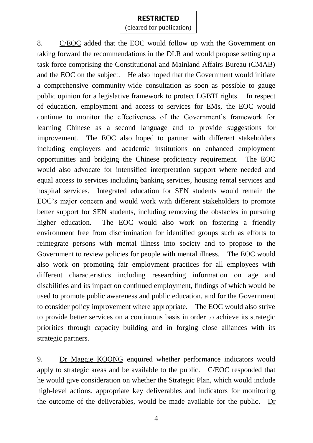(cleared for publication)

8. C/EOC added that the EOC would follow up with the Government on taking forward the recommendations in the DLR and would propose setting up a task force comprising the Constitutional and Mainland Affairs Bureau (CMAB) and the EOC on the subject. He also hoped that the Government would initiate a comprehensive community-wide consultation as soon as possible to gauge public opinion for a legislative framework to protect LGBTI rights. In respect of education, employment and access to services for EMs, the EOC would continue to monitor the effectiveness of the Government's framework for learning Chinese as a second language and to provide suggestions for improvement. The EOC also hoped to partner with different stakeholders including employers and academic institutions on enhanced employment opportunities and bridging the Chinese proficiency requirement. The EOC would also advocate for intensified interpretation support where needed and equal access to services including banking services, housing rental services and hospital services. Integrated education for SEN students would remain the EOC's major concern and would work with different stakeholders to promote better support for SEN students, including removing the obstacles in pursuing higher education. The EOC would also work on fostering a friendly environment free from discrimination for identified groups such as efforts to reintegrate persons with mental illness into society and to propose to the Government to review policies for people with mental illness. The EOC would also work on promoting fair employment practices for all employees with different characteristics including researching information on age and disabilities and its impact on continued employment, findings of which would be used to promote public awareness and public education, and for the Government to consider policy improvement where appropriate. The EOC would also strive to provide better services on a continuous basis in order to achieve its strategic priorities through capacity building and in forging close alliances with its strategic partners.

9. Dr Maggie KOONG enquired whether performance indicators would apply to strategic areas and be available to the public. C/EOC responded that he would give consideration on whether the Strategic Plan, which would include high-level actions, appropriate key deliverables and indicators for monitoring the outcome of the deliverables, would be made available for the public. Dr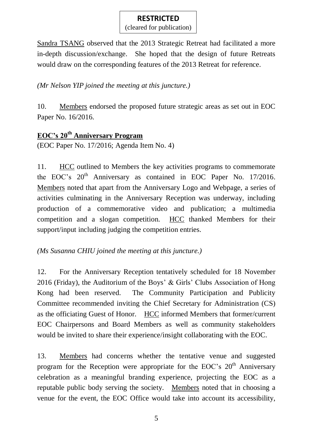(cleared for publication)

Sandra TSANG observed that the 2013 Strategic Retreat had facilitated a more in-depth discussion/exchange. She hoped that the design of future Retreats would draw on the corresponding features of the 2013 Retreat for reference.

#### *(Mr Nelson YIP joined the meeting at this juncture.)*

10. Members endorsed the proposed future strategic areas as set out in EOC Paper No. 16/2016.

#### **EOC's 20th Anniversary Program**

(EOC Paper No. 17/2016; Agenda Item No. 4)

11. HCC outlined to Members the key activities programs to commemorate the EOC's  $20<sup>th</sup>$  Anniversary as contained in EOC Paper No. 17/2016. Members noted that apart from the Anniversary Logo and Webpage, a series of activities culminating in the Anniversary Reception was underway, including production of a commemorative video and publication; a multimedia competition and a slogan competition. HCC thanked Members for their support/input including judging the competition entries.

#### *(Ms Susanna CHIU joined the meeting at this juncture.)*

12. For the Anniversary Reception tentatively scheduled for 18 November 2016 (Friday), the Auditorium of the Boys' & Girls' Clubs Association of Hong Kong had been reserved. The Community Participation and Publicity Committee recommended inviting the Chief Secretary for Administration (CS) as the officiating Guest of Honor. HCC informed Members that former/current EOC Chairpersons and Board Members as well as community stakeholders would be invited to share their experience/insight collaborating with the EOC.

13. Members had concerns whether the tentative venue and suggested program for the Reception were appropriate for the EOC's  $20<sup>th</sup>$  Anniversary celebration as a meaningful branding experience, projecting the EOC as a reputable public body serving the society. Members noted that in choosing a venue for the event, the EOC Office would take into account its accessibility,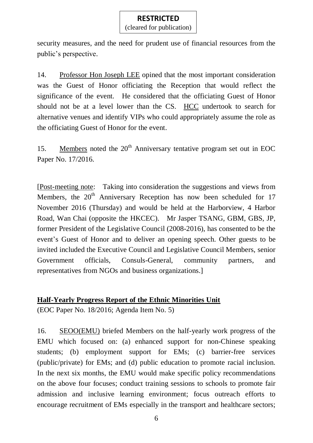(cleared for publication)

security measures, and the need for prudent use of financial resources from the public's perspective.

14. Professor Hon Joseph LEE opined that the most important consideration was the Guest of Honor officiating the Reception that would reflect the significance of the event. He considered that the officiating Guest of Honor should not be at a level lower than the CS. HCC undertook to search for alternative venues and identify VIPs who could appropriately assume the role as the officiating Guest of Honor for the event.

15. Members noted the  $20<sup>th</sup>$  Anniversary tentative program set out in EOC Paper No. 17/2016.

[Post-meeting note: Taking into consideration the suggestions and views from Members, the  $20<sup>th</sup>$  Anniversary Reception has now been scheduled for 17 November 2016 (Thursday) and would be held at the Harborview, 4 Harbor Road, Wan Chai (opposite the HKCEC). Mr Jasper TSANG, GBM, GBS, JP, former President of the Legislative Council (2008-2016), has consented to be the event's Guest of Honor and to deliver an opening speech. Other guests to be invited included the Executive Council and Legislative Council Members, senior Government officials, Consuls-General, community partners, and representatives from NGOs and business organizations.]

#### **Half-Yearly Progress Report of the Ethnic Minorities Unit**

(EOC Paper No. 18/2016; Agenda Item No. 5)

16. SEOO(EMU) briefed Members on the half-yearly work progress of the EMU which focused on: (a) enhanced support for non-Chinese speaking students; (b) employment support for EMs; (c) barrier-free services (public/private) for EMs; and (d) public education to promote racial inclusion. In the next six months, the EMU would make specific policy recommendations on the above four focuses; conduct training sessions to schools to promote fair admission and inclusive learning environment; focus outreach efforts to encourage recruitment of EMs especially in the transport and healthcare sectors;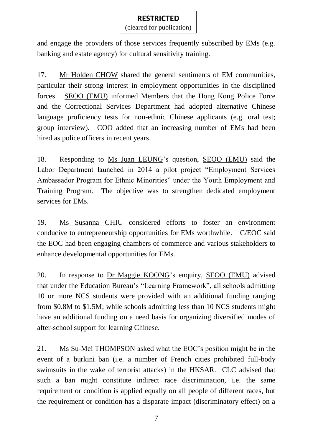(cleared for publication)

and engage the providers of those services frequently subscribed by EMs (e.g. banking and estate agency) for cultural sensitivity training.

17. Mr Holden CHOW shared the general sentiments of EM communities, particular their strong interest in employment opportunities in the disciplined forces. SEOO (EMU) informed Members that the Hong Kong Police Force and the Correctional Services Department had adopted alternative Chinese language proficiency tests for non-ethnic Chinese applicants (e.g. oral test; group interview). COO added that an increasing number of EMs had been hired as police officers in recent years.

18. Responding to Ms Juan LEUNG's question, SEOO (EMU) said the Labor Department launched in 2014 a pilot project "Employment Services Ambassador Program for Ethnic Minorities" under the Youth Employment and Training Program. The objective was to strengthen dedicated employment services for EMs.

19. Ms Susanna CHIU considered efforts to foster an environment conducive to entrepreneurship opportunities for EMs worthwhile. C/EOC said the EOC had been engaging chambers of commerce and various stakeholders to enhance developmental opportunities for EMs.

20. In response to Dr Maggie KOONG's enquiry, SEOO (EMU) advised that under the Education Bureau's "Learning Framework", all schools admitting 10 or more NCS students were provided with an additional funding ranging from \$0.8M to \$1.5M; while schools admitting less than 10 NCS students might have an additional funding on a need basis for organizing diversified modes of after-school support for learning Chinese.

21. Ms Su-Mei THOMPSON asked what the EOC's position might be in the event of a burkini ban (i.e. a number of French cities prohibited full-body swimsuits in the wake of terrorist attacks) in the HKSAR. CLC advised that such a ban might constitute indirect race discrimination, i.e. the same requirement or condition is applied equally on all people of different races, but the requirement or condition has a disparate impact (discriminatory effect) on a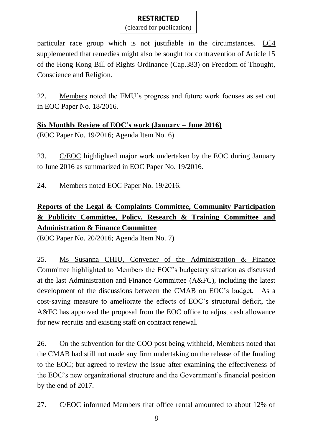(cleared for publication)

particular race group which is not justifiable in the circumstances. LC4 supplemented that remedies might also be sought for contravention of Article 15 of the Hong Kong Bill of Rights Ordinance (Cap.383) on Freedom of Thought, Conscience and Religion.

22. Members noted the EMU's progress and future work focuses as set out in EOC Paper No. 18/2016.

**Six Monthly Review of EOC's work (January – June 2016)** (EOC Paper No. 19/2016; Agenda Item No. 6)

23. C/EOC highlighted major work undertaken by the EOC during January to June 2016 as summarized in EOC Paper No. 19/2016.

24. Members noted EOC Paper No. 19/2016.

## **Reports of the Legal & Complaints Committee, Community Participation & Publicity Committee, Policy, Research & Training Committee and Administration & Finance Committee**

(EOC Paper No. 20/2016; Agenda Item No. 7)

25. Ms Susanna CHIU, Convener of the Administration & Finance Committee highlighted to Members the EOC's budgetary situation as discussed at the last Administration and Finance Committee (A&FC), including the latest development of the discussions between the CMAB on EOC's budget. As a cost-saving measure to ameliorate the effects of EOC's structural deficit, the A&FC has approved the proposal from the EOC office to adjust cash allowance for new recruits and existing staff on contract renewal.

26. On the subvention for the COO post being withheld, Members noted that the CMAB had still not made any firm undertaking on the release of the funding to the EOC; but agreed to review the issue after examining the effectiveness of the EOC's new organizational structure and the Government's financial position by the end of 2017.

27. C/EOC informed Members that office rental amounted to about 12% of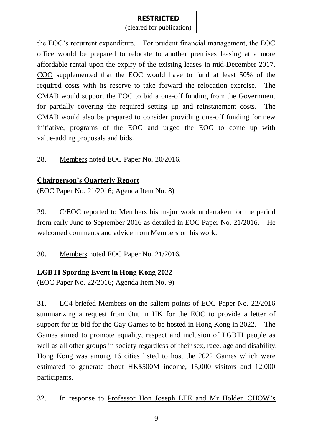(cleared for publication)

the EOC's recurrent expenditure. For prudent financial management, the EOC office would be prepared to relocate to another premises leasing at a more affordable rental upon the expiry of the existing leases in mid-December 2017. COO supplemented that the EOC would have to fund at least 50% of the required costs with its reserve to take forward the relocation exercise. The CMAB would support the EOC to bid a one-off funding from the Government for partially covering the required setting up and reinstatement costs. The CMAB would also be prepared to consider providing one-off funding for new initiative, programs of the EOC and urged the EOC to come up with value-adding proposals and bids.

28. Members noted EOC Paper No. 20/2016.

#### **Chairperson's Quarterly Report**

(EOC Paper No. 21/2016; Agenda Item No. 8)

29. C/EOC reported to Members his major work undertaken for the period from early June to September 2016 as detailed in EOC Paper No. 21/2016. He welcomed comments and advice from Members on his work.

30. Members noted EOC Paper No. 21/2016.

#### **LGBTI Sporting Event in Hong Kong 2022**

(EOC Paper No. 22/2016; Agenda Item No. 9)

31. LC4 briefed Members on the salient points of EOC Paper No. 22/2016 summarizing a request from Out in HK for the EOC to provide a letter of support for its bid for the Gay Games to be hosted in Hong Kong in 2022. The Games aimed to promote equality, respect and inclusion of LGBTI people as well as all other groups in society regardless of their sex, race, age and disability. Hong Kong was among 16 cities listed to host the 2022 Games which were estimated to generate about HK\$500M income, 15,000 visitors and 12,000 participants.

32. In response to Professor Hon Joseph LEE and Mr Holden CHOW's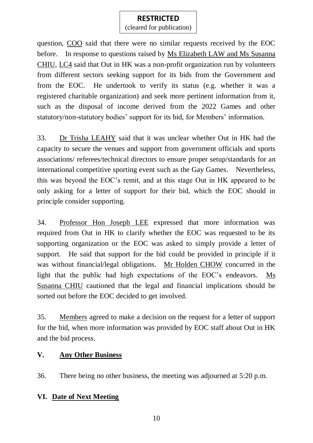(cleared for publication)

question, COO said that there were no similar requests received by the EOC before. In response to questions raised by Ms Elizabeth LAW and Ms Susanna CHIU, LC4 said that Out in HK was a non-profit organization run by volunteers from different sectors seeking support for its bids from the Government and from the EOC. He undertook to verify its status (e.g. whether it was a registered charitable organization) and seek more pertinent information from it, such as the disposal of income derived from the 2022 Games and other statutory/non-statutory bodies' support for its bid, for Members' information.

33. Dr Trisha LEAHY said that it was unclear whether Out in HK had the capacity to secure the venues and support from government officials and sports associations/ referees/technical directors to ensure proper setup/standards for an international competitive sporting event such as the Gay Games. Nevertheless, this was beyond the EOC's remit, and at this stage Out in HK appeared to be only asking for a letter of support for their bid, which the EOC should in principle consider supporting.

34. Professor Hon Joseph LEE expressed that more information was required from Out in HK to clarify whether the EOC was requested to be its supporting organization or the EOC was asked to simply provide a letter of support. He said that support for the bid could be provided in principle if it was without financial/legal obligations. Mr Holden CHOW concurred in the light that the public had high expectations of the EOC's endeavors. Ms Susanna CHIU cautioned that the legal and financial implications should be sorted out before the EOC decided to get involved.

35. Members agreed to make a decision on the request for a letter of support for the bid, when more information was provided by EOC staff about Out in HK and the bid process.

#### **V. Any Other Business**

36. There being no other business, the meeting was adjourned at 5:20 p.m.

#### **VI. Date of Next Meeting**